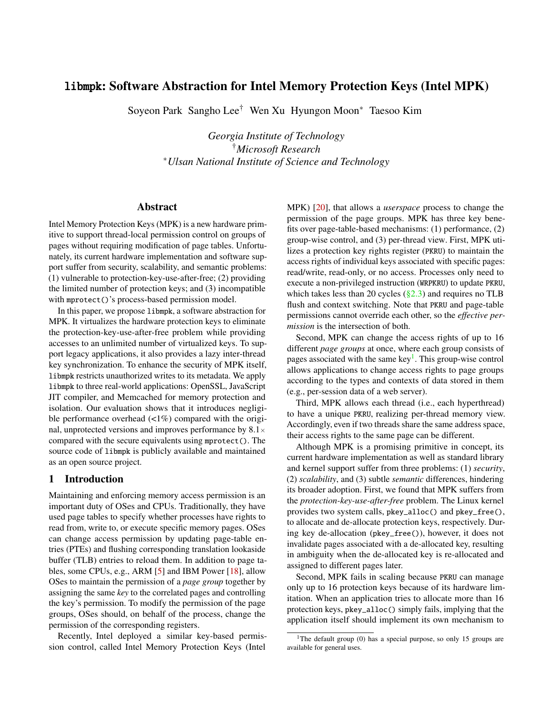# libmpk: Software Abstraction for Intel Memory Protection Keys (Intel MPK)

Soyeon Park Sangho Lee† Wen Xu Hyungon Moon<sup>∗</sup> Taesoo Kim

*Georgia Institute of Technology* †*Microsoft Research* <sup>∗</sup>*Ulsan National Institute of Science and Technology*

#### Abstract

Intel Memory Protection Keys (MPK) is a new hardware primitive to support thread-local permission control on groups of pages without requiring modification of page tables. Unfortunately, its current hardware implementation and software support suffer from security, scalability, and semantic problems: (1) vulnerable to protection-key-use-after-free; (2) providing the limited number of protection keys; and (3) incompatible with mprotect ()'s process-based permission model.

In this paper, we propose libmpk, a software abstraction for MPK. It virtualizes the hardware protection keys to eliminate the protection-key-use-after-free problem while providing accesses to an unlimited number of virtualized keys. To support legacy applications, it also provides a lazy inter-thread key synchronization. To enhance the security of MPK itself, libmpk restricts unauthorized writes to its metadata. We apply libmpk to three real-world applications: OpenSSL, JavaScript JIT compiler, and Memcached for memory protection and isolation. Our evaluation shows that it introduces negligible performance overhead  $\left(\langle 1\% \rangle \right)$  compared with the original, unprotected versions and improves performance by  $8.1 \times$ compared with the secure equivalents using mprotect(). The source code of libmpk is publicly available and maintained as an open source project.

# 1 Introduction

Maintaining and enforcing memory access permission is an important duty of OSes and CPUs. Traditionally, they have used page tables to specify whether processes have rights to read from, write to, or execute specific memory pages. OSes can change access permission by updating page-table entries (PTEs) and flushing corresponding translation lookaside buffer (TLB) entries to reload them. In addition to page tables, some CPUs, e.g., ARM [\[5\]](#page-11-0) and IBM Power [\[18\]](#page-12-0), allow OSes to maintain the permission of a *page group* together by assigning the same *key* to the correlated pages and controlling the key's permission. To modify the permission of the page groups, OSes should, on behalf of the process, change the permission of the corresponding registers.

Recently, Intel deployed a similar key-based permission control, called Intel Memory Protection Keys (Intel

MPK) [\[20\]](#page-12-1), that allows a *userspace* process to change the permission of the page groups. MPK has three key benefits over page-table-based mechanisms: (1) performance, (2) group-wise control, and (3) per-thread view. First, MPK utilizes a protection key rights register (PKRU) to maintain the access rights of individual keys associated with specific pages: read/write, read-only, or no access. Processes only need to execute a non-privileged instruction (WRPKRU) to update PKRU, which takes less than 20 cycles  $(\S2.3)$  and requires no TLB flush and context switching. Note that PKRU and page-table permissions cannot override each other, so the *effective permission* is the intersection of both.

Second, MPK can change the access rights of up to 16 different *page groups* at once, where each group consists of pages associated with the same key<sup>[1](#page-0-0)</sup>. This group-wise control allows applications to change access rights to page groups according to the types and contexts of data stored in them (e.g., per-session data of a web server).

Third, MPK allows each thread (i.e., each hyperthread) to have a unique PKRU, realizing per-thread memory view. Accordingly, even if two threads share the same address space, their access rights to the same page can be different.

Although MPK is a promising primitive in concept, its current hardware implementation as well as standard library and kernel support suffer from three problems: (1) *security*, (2) *scalability*, and (3) subtle *semantic* differences, hindering its broader adoption. First, we found that MPK suffers from the *protection-key-use-after-free* problem. The Linux kernel provides two system calls, pkey\_alloc() and pkey\_free(), to allocate and de-allocate protection keys, respectively. During key de-allocation (pkey\_free()), however, it does not invalidate pages associated with a de-allocated key, resulting in ambiguity when the de-allocated key is re-allocated and assigned to different pages later.

Second, MPK fails in scaling because PKRU can manage only up to 16 protection keys because of its hardware limitation. When an application tries to allocate more than 16 protection keys, pkey\_alloc() simply fails, implying that the application itself should implement its own mechanism to

<span id="page-0-0"></span><sup>&</sup>lt;sup>1</sup>The default group (0) has a special purpose, so only 15 groups are available for general uses.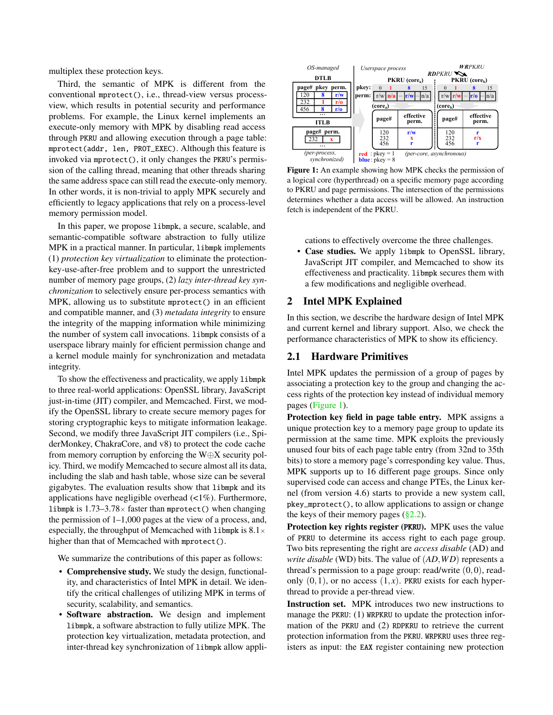multiplex these protection keys.

Third, the semantic of MPK is different from the conventional mprotect(), i.e., thread-view versus processview, which results in potential security and performance problems. For example, the Linux kernel implements an execute-only memory with MPK by disabling read access through PKRU and allowing execution through a page table: mprotect(addr, len, PROT\_EXEC). Although this feature is invoked via mprotect(), it only changes the PKRU's permission of the calling thread, meaning that other threads sharing the same address space can still read the execute-only memory. In other words, it is non-trivial to apply MPK securely and efficiently to legacy applications that rely on a process-level memory permission model.

In this paper, we propose libmpk, a secure, scalable, and semantic-compatible software abstraction to fully utilize MPK in a practical manner. In particular, libmpk implements (1) *protection key virtualization* to eliminate the protectionkey-use-after-free problem and to support the unrestricted number of memory page groups, (2) *lazy inter-thread key synchronization* to selectively ensure per-process semantics with MPK, allowing us to substitute mprotect() in an efficient and compatible manner, and (3) *metadata integrity* to ensure the integrity of the mapping information while minimizing the number of system call invocations. libmpk consists of a userspace library mainly for efficient permission change and a kernel module mainly for synchronization and metadata integrity.

To show the effectiveness and practicality, we apply libmpk to three real-world applications: OpenSSL library, JavaScript just-in-time (JIT) compiler, and Memcached. First, we modify the OpenSSL library to create secure memory pages for storing cryptographic keys to mitigate information leakage. Second, we modify three JavaScript JIT compilers (i.e., SpiderMonkey, ChakraCore, and v8) to protect the code cache from memory corruption by enforcing the W $\oplus$ X security policy. Third, we modify Memcached to secure almost all its data, including the slab and hash table, whose size can be several gigabytes. The evaluation results show that libmpk and its applications have negligible overhead  $\left\langle \langle 1\% \rangle \right\rangle$ . Furthermore, libmpk is  $1.73-3.78\times$  faster than mprotect () when changing the permission of 1–1,000 pages at the view of a process, and, especially, the throughput of Memcached with libmpk is  $8.1 \times$ higher than that of Memcached with mprotect().

We summarize the contributions of this paper as follows:

- Comprehensive study. We study the design, functionality, and characteristics of Intel MPK in detail. We identify the critical challenges of utilizing MPK in terms of security, scalability, and semantics.
- Software abstraction. We design and implement libmpk, a software abstraction to fully utilize MPK. The protection key virtualization, metadata protection, and inter-thread key synchronization of libmpk allow appli-

<span id="page-1-0"></span>

Figure 1: An example showing how MPK checks the permission of a logical core (hyperthread) on a specific memory page according to PKRU and page permissions. The intersection of the permissions determines whether a data access will be allowed. An instruction fetch is independent of the PKRU.

cations to effectively overcome the three challenges. • Case studies. We apply libmpk to OpenSSL library, JavaScript JIT compiler, and Memcached to show its effectiveness and practicality. libmpk secures them with a few modifications and negligible overhead.

### 2 Intel MPK Explained

In this section, we describe the hardware design of Intel MPK and current kernel and library support. Also, we check the performance characteristics of MPK to show its efficiency.

### 2.1 Hardware Primitives

Intel MPK updates the permission of a group of pages by associating a protection key to the group and changing the access rights of the protection key instead of individual memory pages [\(Figure 1\)](#page-1-0).

Protection key field in page table entry. MPK assigns a unique protection key to a memory page group to update its permission at the same time. MPK exploits the previously unused four bits of each page table entry (from 32nd to 35th bits) to store a memory page's corresponding key value. Thus, MPK supports up to 16 different page groups. Since only supervised code can access and change PTEs, the Linux kernel (from version 4.6) starts to provide a new system call, pkey\_mprotect(), to allow applications to assign or change the keys of their memory pages  $(\S2.2)$ .

Protection key rights register (PKRU). MPK uses the value of PKRU to determine its access right to each page group. Two bits representing the right are *access disable* (AD) and *write disable* (WD) bits. The value of (*AD*,*W D*) represents a thread's permission to a page group: read/write  $(0,0)$ , readonly  $(0,1)$ , or no access  $(1, x)$ . PKRU exists for each hyperthread to provide a per-thread view.

Instruction set. MPK introduces two new instructions to manage the PKRU: (1) WRPKRU to update the protection information of the PKRU and (2) RDPKRU to retrieve the current protection information from the PKRU. WRPKRU uses three registers as input: the EAX register containing new protection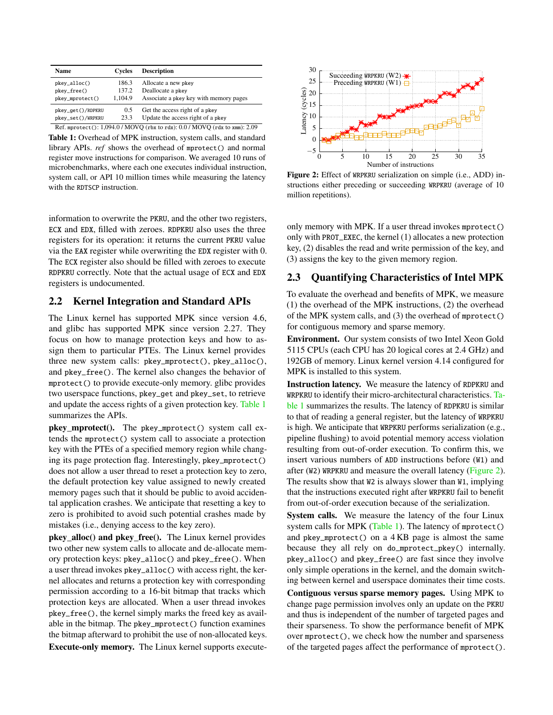<span id="page-2-2"></span>

| Name                                                                        | Cycles  | <b>Description</b>                     |  |  |
|-----------------------------------------------------------------------------|---------|----------------------------------------|--|--|
| pkey_alloc()                                                                | 186.3   | Allocate a new pkey                    |  |  |
| pkey_free()                                                                 | 137.2   | Deallocate a pkey                      |  |  |
| pkey_mprotect()                                                             | 1.104.9 | Associate a pkey key with memory pages |  |  |
| pkey_get()/RDPKRU                                                           | 0.5     | Get the access right of a pkey         |  |  |
| pkey_set()/WRPKRU                                                           | 23.3    | Update the access right of a pkey      |  |  |
| Ref. mprotect(): 1,094.0 / MOVQ (rbx to rdx): 0.0 / MOVQ (rdx to xmm): 2.09 |         |                                        |  |  |

Table 1: Overhead of MPK instruction, system calls, and standard library APIs. *ref* shows the overhead of mprotect() and normal register move instructions for comparison. We averaged 10 runs of microbenchmarks, where each one executes individual instruction, system call, or API 10 million times while measuring the latency with the RDTSCP instruction.

information to overwrite the PKRU, and the other two registers, ECX and EDX, filled with zeroes. RDPKRU also uses the three registers for its operation: it returns the current PKRU value via the EAX register while overwriting the EDX register with 0. The ECX register also should be filled with zeroes to execute RDPKRU correctly. Note that the actual usage of ECX and EDX registers is undocumented.

### <span id="page-2-1"></span>2.2 Kernel Integration and Standard APIs

The Linux kernel has supported MPK since version 4.6, and glibc has supported MPK since version 2.27. They focus on how to manage protection keys and how to assign them to particular PTEs. The Linux kernel provides three new system calls: pkey\_mprotect(), pkey\_alloc(), and pkey\_free(). The kernel also changes the behavior of mprotect() to provide execute-only memory. glibc provides two userspace functions, pkey\_get and pkey\_set, to retrieve and update the access rights of a given protection key. [Table 1](#page-2-2) summarizes the APIs.

pkey\_mprotect(). The pkey\_mprotect() system call extends the mprotect() system call to associate a protection key with the PTEs of a specified memory region while changing its page protection flag. Interestingly, pkey\_mprotect() does not allow a user thread to reset a protection key to zero, the default protection key value assigned to newly created memory pages such that it should be public to avoid accidental application crashes. We anticipate that resetting a key to zero is prohibited to avoid such potential crashes made by mistakes (i.e., denying access to the key zero).

pkey\_alloc() and pkey\_free(). The Linux kernel provides two other new system calls to allocate and de-allocate memory protection keys: pkey\_alloc() and pkey\_free(). When a user thread invokes pkey\_alloc() with access right, the kernel allocates and returns a protection key with corresponding permission according to a 16-bit bitmap that tracks which protection keys are allocated. When a user thread invokes pkey\_free(), the kernel simply marks the freed key as available in the bitmap. The pkey\_mprotect() function examines the bitmap afterward to prohibit the use of non-allocated keys.

Execute-only memory. The Linux kernel supports execute-

<span id="page-2-3"></span>

Figure 2: Effect of WRPKRU serialization on simple (i.e., ADD) instructions either preceding or succeeding WRPKRU (average of 10 million repetitions).

only memory with MPK. If a user thread invokes mprotect() only with PROT\_EXEC, the kernel (1) allocates a new protection key, (2) disables the read and write permission of the key, and (3) assigns the key to the given memory region.

# <span id="page-2-0"></span>2.3 Quantifying Characteristics of Intel MPK

To evaluate the overhead and benefits of MPK, we measure (1) the overhead of the MPK instructions, (2) the overhead of the MPK system calls, and (3) the overhead of mprotect() for contiguous memory and sparse memory.

Environment. Our system consists of two Intel Xeon Gold 5115 CPUs (each CPU has 20 logical cores at 2.4 GHz) and 192GB of memory. Linux kernel version 4.14 configured for MPK is installed to this system.

Instruction latency. We measure the latency of RDPKRU and WRPKRU to identify their micro-architectural characteristics. [Ta](#page-2-2)[ble 1](#page-2-2) summarizes the results. The latency of RDPKRU is similar to that of reading a general register, but the latency of WRPKRU is high. We anticipate that WRPKRU performs serialization (e.g., pipeline flushing) to avoid potential memory access violation resulting from out-of-order execution. To confirm this, we insert various numbers of ADD instructions before (W1) and after (W2) WRPKRU and measure the overall latency [\(Figure 2\)](#page-2-3). The results show that W2 is always slower than W1, implying that the instructions executed right after WRPKRU fail to benefit from out-of-order execution because of the serialization.

System calls. We measure the latency of the four Linux system calls for MPK [\(Table 1\)](#page-2-2). The latency of mprotect() and pkey\_mprotect() on a 4 KB page is almost the same because they all rely on do\_mprotect\_pkey() internally. pkey\_alloc() and pkey\_free() are fast since they involve only simple operations in the kernel, and the domain switching between kernel and userspace dominates their time costs. Contiguous versus sparse memory pages. Using MPK to change page permission involves only an update on the PKRU and thus is independent of the number of targeted pages and their sparseness. To show the performance benefit of MPK over mprotect(), we check how the number and sparseness of the targeted pages affect the performance of mprotect().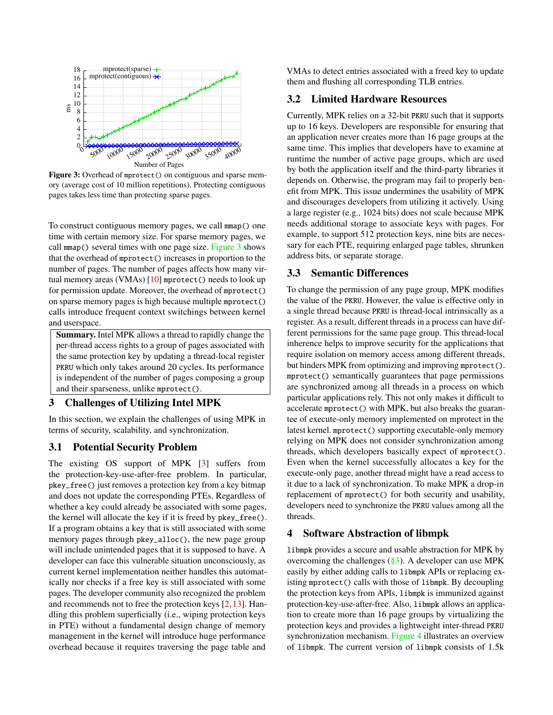<span id="page-3-0"></span>

Figure 3: Overhead of mprotect() on contiguous and sparse memory (average cost of 10 million repetitions). Protecting contiguous pages takes less time than protecting sparse pages.

To construct contiguous memory pages, we call mmap() one time with certain memory size. For sparse memory pages, we call mmap() several times with one page size. [Figure 3](#page-3-0) shows that the overhead of mprotect() increases in proportion to the number of pages. The number of pages affects how many vir-tual memory areas (VMAs) [\[10\]](#page-12-2) mprotect () needs to look up for permission update. Moreover, the overhead of mprotect() on sparse memory pages is high because multiple mprotect() calls introduce frequent context switchings between kernel and userspace.

Summary. Intel MPK allows a thread to rapidly change the per-thread access rights to a group of pages associated with the same protection key by updating a thread-local register PKRU which only takes around 20 cycles. Its performance is independent of the number of pages composing a group and their sparseness, unlike mprotect().

# <span id="page-3-1"></span>3 Challenges of Utilizing Intel MPK

In this section, we explain the challenges of using MPK in terms of security, scalability, and synchronization.

# 3.1 Potential Security Problem

The existing OS support of MPK [\[3\]](#page-11-1) suffers from the protection-key-use-after-free problem. In particular, pkey\_free() just removes a protection key from a key bitmap and does not update the corresponding PTEs. Regardless of whether a key could already be associated with some pages, the kernel will allocate the key if it is freed by pkey\_free(). If a program obtains a key that is still associated with some memory pages through pkey\_alloc(), the new page group will include unintended pages that it is supposed to have. A developer can face this vulnerable situation unconsciously, as current kernel implementation neither handles this automatically nor checks if a free key is still associated with some pages. The developer community also recognized the problem and recommends not to free the protection keys [\[2,](#page-11-2) [13\]](#page-12-3). Handling this problem superficially (i.e., wiping protection keys in PTE) without a fundamental design change of memory management in the kernel will introduce huge performance overhead because it requires traversing the page table and

VMAs to detect entries associated with a freed key to update them and flushing all corresponding TLB entries.

### 3.2 Limited Hardware Resources

Currently, MPK relies on a 32-bit PKRU such that it supports up to 16 keys. Developers are responsible for ensuring that an application never creates more than 16 page groups at the same time. This implies that developers have to examine at runtime the number of active page groups, which are used by both the application itself and the third-party libraries it depends on. Otherwise, the program may fail to properly benefit from MPK. This issue undermines the usability of MPK and discourages developers from utilizing it actively. Using a large register (e.g., 1024 bits) does not scale because MPK needs additional storage to associate keys with pages. For example, to support 512 protection keys, nine bits are necessary for each PTE, requiring enlarged page tables, shrunken address bits, or separate storage.

# 3.3 Semantic Differences

To change the permission of any page group, MPK modifies the value of the PKRU. However, the value is effective only in a single thread because PKRU is thread-local intrinsically as a register. As a result, different threads in a process can have different permissions for the same page group. This thread-local inherence helps to improve security for the applications that require isolation on memory access among different threads, but hinders MPK from optimizing and improving mprotect(). mprotect() semantically guarantees that page permissions are synchronized among all threads in a process on which particular applications rely. This not only makes it difficult to accelerate mprotect() with MPK, but also breaks the guarantee of execute-only memory implemented on mprotect in the latest kernel. mprotect() supporting executable-only memory relying on MPK does not consider synchronization among threads, which developers basically expect of mprotect(). Even when the kernel successfully allocates a key for the execute-only page, another thread might have a read access to it due to a lack of synchronization. To make MPK a drop-in replacement of mprotect() for both security and usability, developers need to synchronize the PKRU values among all the threads.

#### 4 Software Abstraction of libmpk

libmpk provides a secure and usable abstraction for MPK by overcoming the challenges  $(\frac{8}{3})$ . A developer can use MPK easily by either adding calls to libmpk APIs or replacing existing mprotect() calls with those of libmpk. By decoupling the protection keys from APIs, libmpk is immunized against protection-key-use-after-free. Also, libmpk allows an application to create more than 16 page groups by virtualizing the protection keys and provides a lightweight inter-thread PKRU synchronization mechanism. [Figure 4](#page-4-0) illustrates an overview of libmpk. The current version of libmpk consists of 1.5k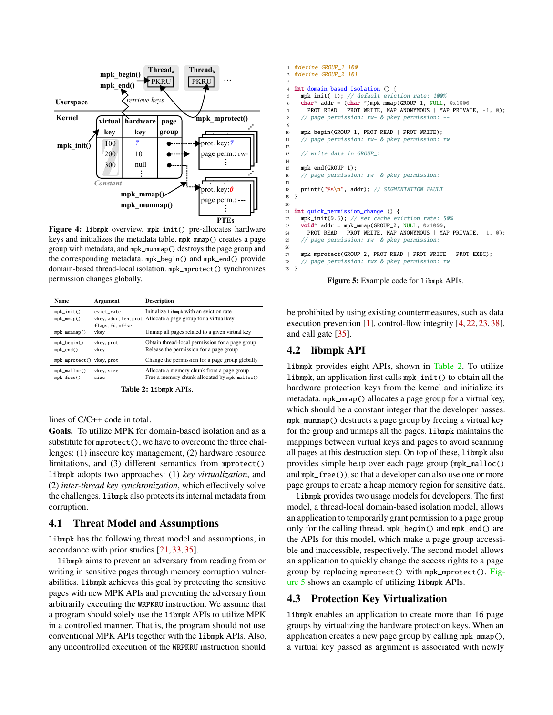<span id="page-4-0"></span>

Figure 4: libmpk overview. mpk\_init() pre-allocates hardware keys and initializes the metadata table. mpk\_mmap() creates a page group with metadata, and mpk\_munmap() destroys the page group and the corresponding metadata. mpk\_begin() and mpk\_end() provide domain-based thread-local isolation. mpk\_mprotect() synchronizes permission changes globally.

<span id="page-4-1"></span>

| <b>Name</b>              | Argument          | <b>Description</b>                                            |
|--------------------------|-------------------|---------------------------------------------------------------|
| $mpk\_init()$            | evict rate        | Initialize 1ibmpk with an eviction rate                       |
| $mpk_mmap()$             | flags, fd, offset | vkey, addr, 1en, prot Allocate a page group for a virtual key |
| $mpk_m$ unmap $()$       | vkev              | Unmap all pages related to a given virtual key                |
| $mpk\_begin()$           | vkey, prot        | Obtain thread-local permission for a page group               |
| $mpk\_end()$             | vkev              | Release the permission for a page group                       |
| mpk_mprotect() vkey.prot |                   | Change the permission for a page group globally               |
| $mpk\_malloc()$          | vkey, size        | Allocate a memory chunk from a page group                     |
| $mpk_free()$             | size              | Free a memory chunk allocated by mpk_malloc()                 |

Table 2: libmpk APIs.

lines of C/C++ code in total.

Goals. To utilize MPK for domain-based isolation and as a substitute for mprotect(), we have to overcome the three challenges: (1) insecure key management, (2) hardware resource limitations, and (3) different semantics from mprotect(). libmpk adopts two approaches: (1) *key virtualization*, and (2) *inter-thread key synchronization*, which effectively solve the challenges. libmpk also protects its internal metadata from corruption.

#### 4.1 Threat Model and Assumptions

libmpk has the following threat model and assumptions, in accordance with prior studies [\[21,](#page-12-4) [33,](#page-13-0) [35\]](#page-13-1).

libmpk aims to prevent an adversary from reading from or writing in sensitive pages through memory corruption vulnerabilities. libmpk achieves this goal by protecting the sensitive pages with new MPK APIs and preventing the adversary from arbitrarily executing the WRPKRU instruction. We assume that a program should solely use the libmpk APIs to utilize MPK in a controlled manner. That is, the program should not use conventional MPK APIs together with the libmpk APIs. Also, any uncontrolled execution of the WRPKRU instruction should

```
1 #define GROUP_1 100
2 #define GROUP_2 101
 3
 4 int domain_based_isolation () {
 5 mpk_init(-1); // default eviction rate: 100%<br>6 char* addr = (char *)mpk_mmap(GROUP_1, NULL, 0x1000,
       PROT_READ | PROT_WRITE, MAP_ANONYMOUS | MAP_PRIVATE, -1, 0);
 8 // page permission: rw- & pkey permission: --
 9
10 mpk_begin(GROUP_1, PROT_READ | PROT_WRITE);
11 // page permission: rw- & pkey permission: rw
12
13 // write data in GROUP_1
14
15 mpk end(GROUP 1):
16 // page permission: rw- & pkey permission: --
17
18 printf("%s\n", addr); // SEGMENTATION FAULT
19 }
2021 int quick_permission_change () {
22 mpk_init(0.5); // set cache eviction rate: 50%
23 void* addr = mpk_mmap(GROUP_2, NULL, 0x1000,
24 PROT_READ | PROT_WRITE, MAP_ANONYMOUS | MAP_PRIVATE, -1, 0);
25 // page permission: rw- & pkey permission:
26
27 mpk_mprotect(GROUP_2, PROT_READ | PROT_WRITE | PROT_EXEC);
28 // page permission: rwx & pkey permission: rw
29 }
```
Figure 5: Example code for libmpk APIs.

be prohibited by using existing countermeasures, such as data execution prevention [\[1\]](#page-11-3), control-flow integrity [\[4,](#page-11-4) [22,](#page-12-5) [23,](#page-12-6) [38\]](#page-13-2), and call gate [\[35\]](#page-13-1).

#### 4.2 libmpk API

libmpk provides eight APIs, shown in [Table 2.](#page-4-1) To utilize libmpk, an application first calls mpk\_init() to obtain all the hardware protection keys from the kernel and initialize its metadata. mpk\_mmap() allocates a page group for a virtual key, which should be a constant integer that the developer passes. mpk\_munmap() destructs a page group by freeing a virtual key for the group and unmaps all the pages. libmpk maintains the mappings between virtual keys and pages to avoid scanning all pages at this destruction step. On top of these, libmpk also provides simple heap over each page group (mpk\_malloc() and mpk\_free()), so that a developer can also use one or more page groups to create a heap memory region for sensitive data.

libmpk provides two usage models for developers. The first model, a thread-local domain-based isolation model, allows an application to temporarily grant permission to a page group only for the calling thread. mpk\_begin() and mpk\_end() are the APIs for this model, which make a page group accessible and inaccessible, respectively. The second model allows an application to quickly change the access rights to a page group by replacing mprotect() with mpk\_mprotect(). [Fig](#page-4-2)[ure 5](#page-4-2) shows an example of utilizing libmpk APIs.

# <span id="page-4-3"></span>4.3 Protection Key Virtualization

libmpk enables an application to create more than 16 page groups by virtualizing the hardware protection keys. When an application creates a new page group by calling mpk\_mmap(), a virtual key passed as argument is associated with newly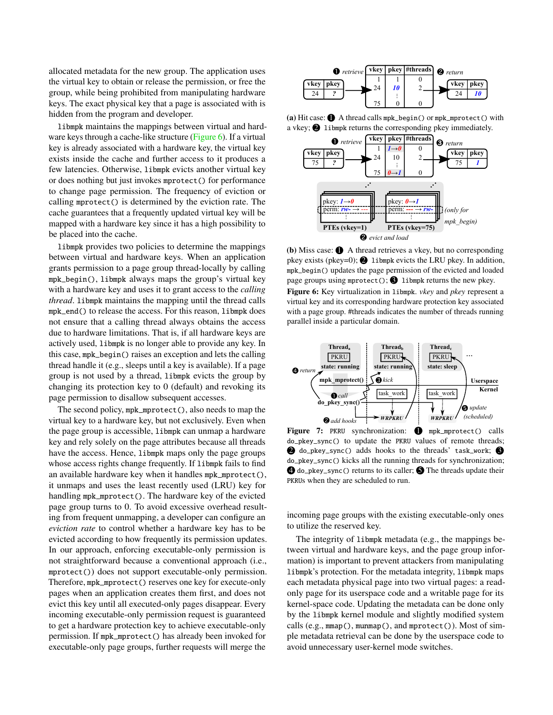allocated metadata for the new group. The application uses the virtual key to obtain or release the permission, or free the group, while being prohibited from manipulating hardware keys. The exact physical key that a page is associated with is hidden from the program and developer.

libmpk maintains the mappings between virtual and hard-ware keys through a cache-like structure [\(Figure 6\)](#page-5-0). If a virtual key is already associated with a hardware key, the virtual key exists inside the cache and further access to it produces a few latencies. Otherwise, libmpk evicts another virtual key or does nothing but just invokes mprotect() for performance to change page permission. The frequency of eviction or calling mprotect() is determined by the eviction rate. The cache guarantees that a frequently updated virtual key will be mapped with a hardware key since it has a high possibility to be placed into the cache.

libmpk provides two policies to determine the mappings between virtual and hardware keys. When an application grants permission to a page group thread-locally by calling mpk\_begin(), libmpk always maps the group's virtual key with a hardware key and uses it to grant access to the *calling thread*. libmpk maintains the mapping until the thread calls mpk\_end() to release the access. For this reason, libmpk does not ensure that a calling thread always obtains the access due to hardware limitations. That is, if all hardware keys are actively used, libmpk is no longer able to provide any key. In this case, mpk\_begin() raises an exception and lets the calling thread handle it (e.g., sleeps until a key is available). If a page group is not used by a thread, libmpk evicts the group by changing its protection key to 0 (default) and revoking its page permission to disallow subsequent accesses.

The second policy, mpk\_mprotect(), also needs to map the virtual key to a hardware key, but not exclusively. Even when the page group is accessible, libmpk can unmap a hardware key and rely solely on the page attributes because all threads have the access. Hence, libmpk maps only the page groups whose access rights change frequently. If libmpk fails to find an available hardware key when it handles mpk\_mprotect(), it unmaps and uses the least recently used (LRU) key for handling mpk\_mprotect(). The hardware key of the evicted page group turns to 0. To avoid excessive overhead resulting from frequent unmapping, a developer can configure an *eviction rate* to control whether a hardware key has to be evicted according to how frequently its permission updates. In our approach, enforcing executable-only permission is not straightforward because a conventional approach (i.e., mprotect()) does not support executable-only permission. Therefore, mpk\_mprotect() reserves one key for execute-only pages when an application creates them first, and does not evict this key until all executed-only pages disappear. Every incoming executable-only permission request is guaranteed to get a hardware protection key to achieve executable-only permission. If mpk\_mprotect() has already been invoked for executable-only page groups, further requests will merge the

<span id="page-5-0"></span>

(a) Hit case:  $\bigcirc$  A thread calls mpk\_begin() or mpk\_mprotect() with a vkey;  $\bullet$  libmpk returns the corresponding pkey immediately.



(b) Miss case:  $\bullet$  A thread retrieves a vkey, but no corresponding pkey exists (pkey=0);  $\bigcirc$  libmpk evicts the LRU pkey. In addition, mpk\_begin() updates the page permission of the evicted and loaded page groups using mprotect();  $\bigcirc$  libmpk returns the new pkey. Figure 6: Key virtualization in libmpk. *vkey* and *pkey* represent a virtual key and its corresponding hardware protection key associated with a page group. #threads indicates the number of threads running parallel inside a particular domain.

<span id="page-5-1"></span>

Figure 7: PKRU synchronization: **1** mpk\_mprotect() calls do\_pkey\_sync() to update the PKRU values of remote threads; **2** do\_pkey\_sync() adds hooks to the threads' task\_work; **3** do\_pkey\_sync() kicks all the running threads for synchronization;  $\bigcirc$  do\_pkey\_sync() returns to its caller;  $\bigcirc$  The threads update their PKRUs when they are scheduled to run.

incoming page groups with the existing executable-only ones to utilize the reserved key.

The integrity of libmpk metadata (e.g., the mappings between virtual and hardware keys, and the page group information) is important to prevent attackers from manipulating libmpk's protection. For the metadata integrity, libmpk maps each metadata physical page into two virtual pages: a readonly page for its userspace code and a writable page for its kernel-space code. Updating the metadata can be done only by the libmpk kernel module and slightly modified system calls (e.g., mmap(), munmap(), and mprotect()). Most of simple metadata retrieval can be done by the userspace code to avoid unnecessary user-kernel mode switches.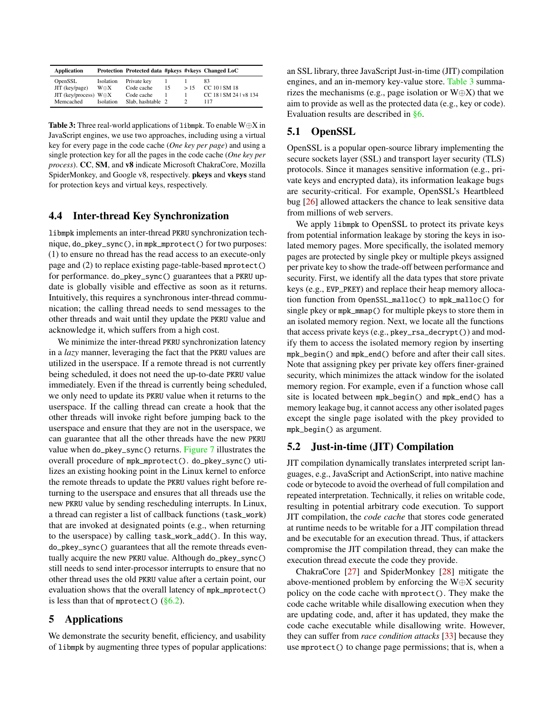<span id="page-6-0"></span>

| <b>Application</b>             |              | Protection Protected data #pkeys #vkeys Changed LoC |    |     |                        |
|--------------------------------|--------------|-----------------------------------------------------|----|-----|------------------------|
| OpenSSL                        | Isolation    | Private key                                         |    |     | 83                     |
| $JIT$ (key/page)               | $W \oplus X$ | Code cache                                          | 15 | >15 | CC 101 SM 18           |
| JIT (key/process) $W \oplus X$ |              | Code cache                                          |    |     | CC 18   SM 24   v8 134 |
| Memcached                      | Isolation    | Slab, hashtable 2                                   |    |     | 117                    |

**Table 3:** Three real-world applications of libmpk. To enable  $W \oplus X$  in JavaScript engines, we use two approaches, including using a virtual key for every page in the code cache (*One key per page*) and using a single protection key for all the pages in the code cache (*One key per process*). CC, SM, and v8 indicate Microsoft ChakraCore, Mozilla SpiderMonkey, and Google v8, respectively. pkeys and vkeys stand for protection keys and virtual keys, respectively.

#### 4.4 Inter-thread Key Synchronization

libmpk implements an inter-thread PKRU synchronization technique, do\_pkey\_sync(), in mpk\_mprotect() for two purposes: (1) to ensure no thread has the read access to an execute-only page and (2) to replace existing page-table-based mprotect() for performance. do\_pkey\_sync() guarantees that a PKRU update is globally visible and effective as soon as it returns. Intuitively, this requires a synchronous inter-thread communication; the calling thread needs to send messages to the other threads and wait until they update the PKRU value and acknowledge it, which suffers from a high cost.

We minimize the inter-thread PKRU synchronization latency in a *lazy* manner, leveraging the fact that the PKRU values are utilized in the userspace. If a remote thread is not currently being scheduled, it does not need the up-to-date PKRU value immediately. Even if the thread is currently being scheduled, we only need to update its PKRU value when it returns to the userspace. If the calling thread can create a hook that the other threads will invoke right before jumping back to the userspace and ensure that they are not in the userspace, we can guarantee that all the other threads have the new PKRU value when do\_pkey\_sync() returns. [Figure 7](#page-5-1) illustrates the overall procedure of mpk\_mprotect(). do\_pkey\_sync() utilizes an existing hooking point in the Linux kernel to enforce the remote threads to update the PKRU values right before returning to the userspace and ensures that all threads use the new PKRU value by sending rescheduling interrupts. In Linux, a thread can register a list of callback functions (task\_work) that are invoked at designated points (e.g., when returning to the userspace) by calling task\_work\_add(). In this way, do\_pkey\_sync() guarantees that all the remote threads eventually acquire the new PKRU value. Although do\_pkey\_sync() still needs to send inter-processor interrupts to ensure that no other thread uses the old PKRU value after a certain point, our evaluation shows that the overall latency of mpk\_mprotect() is less than that of mprotect()  $(\S6.2)$ .

# <span id="page-6-2"></span>5 Applications

We demonstrate the security benefit, efficiency, and usability of libmpk by augmenting three types of popular applications: an SSL library, three JavaScript Just-in-time (JIT) compilation engines, and an in-memory key-value store. [Table 3](#page-6-0) summarizes the mechanisms (e.g., page isolation or  $W \oplus X$ ) that we aim to provide as well as the protected data (e.g., key or code). Evaluation results are described in [§6.](#page-7-1)

# 5.1 OpenSSL

OpenSSL is a popular open-source library implementing the secure sockets layer (SSL) and transport layer security (TLS) protocols. Since it manages sensitive information (e.g., private keys and encrypted data), its information leakage bugs are security-critical. For example, OpenSSL's Heartbleed bug [\[26\]](#page-12-7) allowed attackers the chance to leak sensitive data from millions of web servers.

We apply libmpk to OpenSSL to protect its private keys from potential information leakage by storing the keys in isolated memory pages. More specifically, the isolated memory pages are protected by single pkey or multiple pkeys assigned per private key to show the trade-off between performance and security. First, we identify all the data types that store private keys (e.g., EVP\_PKEY) and replace their heap memory allocation function from OpenSSL\_malloc() to mpk\_malloc() for single pkey or mpk\_mmap() for multiple pkeys to store them in an isolated memory region. Next, we locate all the functions that access private keys (e.g., pkey\_rsa\_decrypt()) and modify them to access the isolated memory region by inserting mpk\_begin() and mpk\_end() before and after their call sites. Note that assigning pkey per private key offers finer-grained security, which minimizes the attack window for the isolated memory region. For example, even if a function whose call site is located between mpk\_begin() and mpk\_end() has a memory leakage bug, it cannot access any other isolated pages except the single page isolated with the pkey provided to mpk\_begin() as argument.

# <span id="page-6-1"></span>5.2 Just-in-time (JIT) Compilation

JIT compilation dynamically translates interpreted script languages, e.g., JavaScript and ActionScript, into native machine code or bytecode to avoid the overhead of full compilation and repeated interpretation. Technically, it relies on writable code, resulting in potential arbitrary code execution. To support JIT compilation, the *code cache* that stores code generated at runtime needs to be writable for a JIT compilation thread and be executable for an execution thread. Thus, if attackers compromise the JIT compilation thread, they can make the execution thread execute the code they provide.

ChakraCore [\[27\]](#page-12-8) and SpiderMonkey [\[28\]](#page-12-9) mitigate the above-mentioned problem by enforcing the W⊕X security policy on the code cache with mprotect(). They make the code cache writable while disallowing execution when they are updating code, and, after it has updated, they make the code cache executable while disallowing write. However, they can suffer from *race condition attacks* [\[33\]](#page-13-0) because they use mprotect() to change page permissions; that is, when a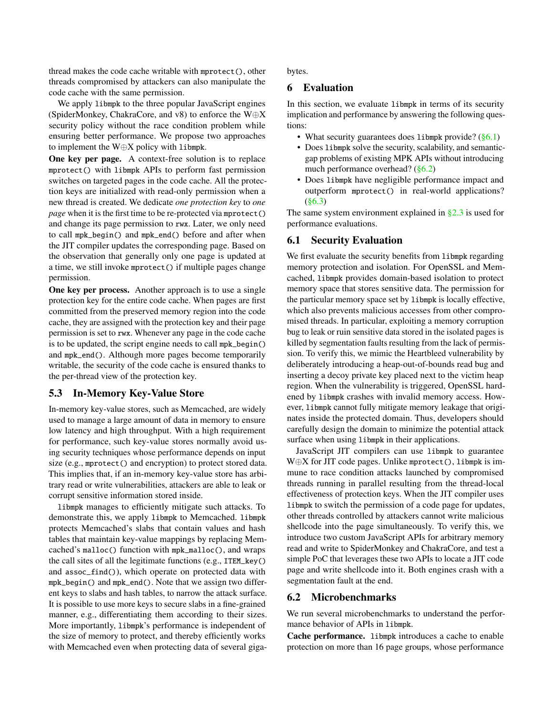thread makes the code cache writable with mprotect(), other threads compromised by attackers can also manipulate the code cache with the same permission.

We apply libmpk to the three popular JavaScript engines (SpiderMonkey, ChakraCore, and v8) to enforce the W⊕X security policy without the race condition problem while ensuring better performance. We propose two approaches to implement the W⊕X policy with libmpk.

One key per page. A context-free solution is to replace mprotect() with libmpk APIs to perform fast permission switches on targeted pages in the code cache. All the protection keys are initialized with read-only permission when a new thread is created. We dedicate *one protection key* to *one page* when it is the first time to be re-protected via mprotect() and change its page permission to rwx. Later, we only need to call mpk\_begin() and mpk\_end() before and after when the JIT compiler updates the corresponding page. Based on the observation that generally only one page is updated at a time, we still invoke mprotect() if multiple pages change permission.

One key per process. Another approach is to use a single protection key for the entire code cache. When pages are first committed from the preserved memory region into the code cache, they are assigned with the protection key and their page permission is set to rwx. Whenever any page in the code cache is to be updated, the script engine needs to call mpk\_begin() and mpk\_end(). Although more pages become temporarily writable, the security of the code cache is ensured thanks to the per-thread view of the protection key.

## 5.3 In-Memory Key-Value Store

In-memory key-value stores, such as Memcached, are widely used to manage a large amount of data in memory to ensure low latency and high throughput. With a high requirement for performance, such key-value stores normally avoid using security techniques whose performance depends on input size (e.g., mprotect() and encryption) to protect stored data. This implies that, if an in-memory key-value store has arbitrary read or write vulnerabilities, attackers are able to leak or corrupt sensitive information stored inside.

libmpk manages to efficiently mitigate such attacks. To demonstrate this, we apply libmpk to Memcached. libmpk protects Memcached's slabs that contain values and hash tables that maintain key-value mappings by replacing Memcached's malloc() function with mpk\_malloc(), and wraps the call sites of all the legitimate functions (e.g., ITEM\_key() and assoc\_find()), which operate on protected data with mpk\_begin() and mpk\_end(). Note that we assign two different keys to slabs and hash tables, to narrow the attack surface. It is possible to use more keys to secure slabs in a fine-grained manner, e.g., differentiating them according to their sizes. More importantly, libmpk's performance is independent of the size of memory to protect, and thereby efficiently works with Memcached even when protecting data of several giga<span id="page-7-1"></span>bytes.

#### 6 Evaluation

In this section, we evaluate libmpk in terms of its security implication and performance by answering the following questions:

- What security guarantees does libmpk provide? [\(§6.1\)](#page-7-2)
- Does libmpk solve the security, scalability, and semanticgap problems of existing MPK APIs without introducing much performance overhead? [\(§6.2\)](#page-7-0)
- Does libmpk have negligible performance impact and outperform mprotect() in real-world applications? [\(§6.3\)](#page-9-0)

The same system environment explained in  $\S 2.3$  is used for performance evaluations.

#### <span id="page-7-2"></span>6.1 Security Evaluation

We first evaluate the security benefits from libmpk regarding memory protection and isolation. For OpenSSL and Memcached, libmpk provides domain-based isolation to protect memory space that stores sensitive data. The permission for the particular memory space set by libmpk is locally effective, which also prevents malicious accesses from other compromised threads. In particular, exploiting a memory corruption bug to leak or ruin sensitive data stored in the isolated pages is killed by segmentation faults resulting from the lack of permission. To verify this, we mimic the Heartbleed vulnerability by deliberately introducing a heap-out-of-bounds read bug and inserting a decoy private key placed next to the victim heap region. When the vulnerability is triggered, OpenSSL hardened by libmpk crashes with invalid memory access. However, libmpk cannot fully mitigate memory leakage that originates inside the protected domain. Thus, developers should carefully design the domain to minimize the potential attack surface when using libmpk in their applications.

JavaScript JIT compilers can use libmpk to guarantee W⊕X for JIT code pages. Unlike mprotect(), libmpk is immune to race condition attacks launched by compromised threads running in parallel resulting from the thread-local effectiveness of protection keys. When the JIT compiler uses libmpk to switch the permission of a code page for updates, other threads controlled by attackers cannot write malicious shellcode into the page simultaneously. To verify this, we introduce two custom JavaScript APIs for arbitrary memory read and write to SpiderMonkey and ChakraCore, and test a simple PoC that leverages these two APIs to locate a JIT code page and write shellcode into it. Both engines crash with a segmentation fault at the end.

# <span id="page-7-0"></span>6.2 Microbenchmarks

We run several microbenchmarks to understand the performance behavior of APIs in libmpk.

Cache performance. libmpk introduces a cache to enable protection on more than 16 page groups, whose performance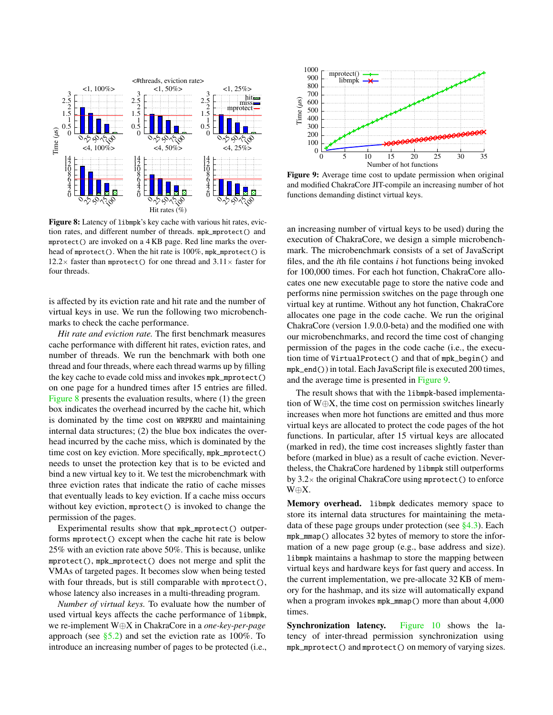<span id="page-8-0"></span>

Figure 8: Latency of libmpk's key cache with various hit rates, eviction rates, and different number of threads. mpk\_mprotect() and mprotect() are invoked on a 4 KB page. Red line marks the overhead of mprotect(). When the hit rate is 100%, mpk\_mprotect() is 12.2 $\times$  faster than mprotect() for one thread and 3.11 $\times$  faster for four threads.

is affected by its eviction rate and hit rate and the number of virtual keys in use. We run the following two microbenchmarks to check the cache performance.

*Hit rate and eviction rate.* The first benchmark measures cache performance with different hit rates, eviction rates, and number of threads. We run the benchmark with both one thread and four threads, where each thread warms up by filling the key cache to evade cold miss and invokes mpk\_mprotect() on one page for a hundred times after 15 entries are filled. [Figure 8](#page-8-0) presents the evaluation results, where (1) the green box indicates the overhead incurred by the cache hit, which is dominated by the time cost on WRPKRU and maintaining internal data structures; (2) the blue box indicates the overhead incurred by the cache miss, which is dominated by the time cost on key eviction. More specifically, mpk\_mprotect() needs to unset the protection key that is to be evicted and bind a new virtual key to it. We test the microbenchmark with three eviction rates that indicate the ratio of cache misses that eventually leads to key eviction. If a cache miss occurs without key eviction, mprotect() is invoked to change the permission of the pages.

Experimental results show that mpk\_mprotect() outperforms mprotect() except when the cache hit rate is below 25% with an eviction rate above 50%. This is because, unlike mprotect(), mpk\_mprotect() does not merge and split the VMAs of targeted pages. It becomes slow when being tested with four threads, but is still comparable with mprotect(), whose latency also increases in a multi-threading program.

*Number of virtual keys.* To evaluate how the number of used virtual keys affects the cache performance of libmpk, we re-implement W⊕X in ChakraCore in a *one-key-per-page* approach (see  $\S$ 5.2) and set the eviction rate as 100%. To introduce an increasing number of pages to be protected (i.e.,

<span id="page-8-1"></span>

Figure 9: Average time cost to update permission when original and modified ChakraCore JIT-compile an increasing number of hot functions demanding distinct virtual keys.

an increasing number of virtual keys to be used) during the execution of ChakraCore, we design a simple microbenchmark. The microbenchmark consists of a set of JavaScript files, and the *i*th file contains *i* hot functions being invoked for 100,000 times. For each hot function, ChakraCore allocates one new executable page to store the native code and performs nine permission switches on the page through one virtual key at runtime. Without any hot function, ChakraCore allocates one page in the code cache. We run the original ChakraCore (version 1.9.0.0-beta) and the modified one with our microbenchmarks, and record the time cost of changing permission of the pages in the code cache (i.e., the execution time of VirtualProtect() and that of mpk\_begin() and mpk\_end()) in total. Each JavaScript file is executed 200 times, and the average time is presented in [Figure 9.](#page-8-1)

The result shows that with the libmpk-based implementation of W⊕X, the time cost on permission switches linearly increases when more hot functions are emitted and thus more virtual keys are allocated to protect the code pages of the hot functions. In particular, after 15 virtual keys are allocated (marked in red), the time cost increases slightly faster than before (marked in blue) as a result of cache eviction. Nevertheless, the ChakraCore hardened by libmpk still outperforms by  $3.2\times$  the original ChakraCore using mprotect () to enforce W⊕X.

Memory overhead. libmpk dedicates memory space to store its internal data structures for maintaining the metadata of these page groups under protection (see [§4.3\)](#page-4-3). Each mpk\_mmap() allocates 32 bytes of memory to store the information of a new page group (e.g., base address and size). libmpk maintains a hashmap to store the mapping between virtual keys and hardware keys for fast query and access. In the current implementation, we pre-allocate 32 KB of memory for the hashmap, and its size will automatically expand when a program invokes mpk\_mmap() more than about 4,000 times.

Synchronization latency. [Figure 10](#page-9-1) shows the latency of inter-thread permission synchronization using mpk\_mprotect() and mprotect() on memory of varying sizes.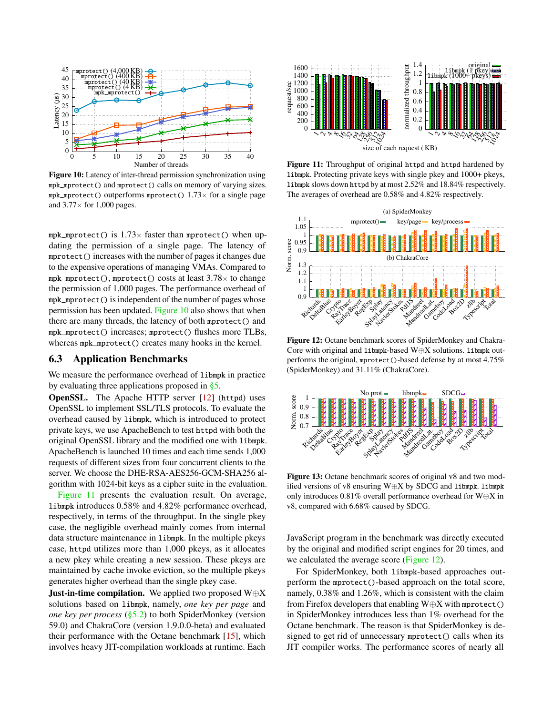<span id="page-9-1"></span>

Figure 10: Latency of inter-thread permission synchronization using mpk\_mprotect() and mprotect() calls on memory of varying sizes. mpk\_mprotect() outperforms mprotect()  $1.73\times$  for a single page and  $3.77\times$  for 1,000 pages.

mpk\_mprotect() is  $1.73\times$  faster than mprotect() when updating the permission of a single page. The latency of mprotect() increases with the number of pages it changes due to the expensive operations of managing VMAs. Compared to mpk\_mprotect(), mprotect() costs at least  $3.78\times$  to change the permission of 1,000 pages. The performance overhead of mpk\_mprotect() is independent of the number of pages whose permission has been updated. [Figure 10](#page-9-1) also shows that when there are many threads, the latency of both mprotect() and mpk\_mprotect() increases; mprotect() flushes more TLBs, whereas mpk\_mprotect() creates many hooks in the kernel.

#### <span id="page-9-0"></span>6.3 Application Benchmarks

We measure the performance overhead of libmpk in practice by evaluating three applications proposed in [§5.](#page-6-2)

**OpenSSL.** The Apache HTTP server [\[12\]](#page-12-10) (httpd) uses OpenSSL to implement SSL/TLS protocols. To evaluate the overhead caused by libmpk, which is introduced to protect private keys, we use ApacheBench to test httpd with both the original OpenSSL library and the modified one with libmpk. ApacheBench is launched 10 times and each time sends 1,000 requests of different sizes from four concurrent clients to the server. We choose the DHE-RSA-AES256-GCM-SHA256 algorithm with 1024-bit keys as a cipher suite in the evaluation.

[Figure 11](#page-9-2) presents the evaluation result. On average, libmpk introduces 0.58% and 4.82% performance overhead, respectively, in terms of the throughput. In the single pkey case, the negligible overhead mainly comes from internal data structure maintenance in libmpk. In the multiple pkeys case, httpd utilizes more than 1,000 pkeys, as it allocates a new pkey while creating a new session. These pkeys are maintained by cache invoke eviction, so the multiple pkeys generates higher overhead than the single pkey case.

**Just-in-time compilation.** We applied two proposed  $W \oplus X$ solutions based on libmpk, namely, *one key per page* and *one key per process* [\(§5.2\)](#page-6-1) to both SpiderMonkey (version 59.0) and ChakraCore (version 1.9.0.0-beta) and evaluated their performance with the Octane benchmark [\[15\]](#page-12-11), which involves heavy JIT-compilation workloads at runtime. Each

<span id="page-9-2"></span>

Figure 11: Throughput of original httpd and httpd hardened by libmpk. Protecting private keys with single pkey and 1000+ pkeys, libmpk slows down httpd by at most 2.52% and 18.84% respectively. The averages of overhead are 0.58% and 4.82% respectively.

<span id="page-9-3"></span>

Figure 12: Octane benchmark scores of SpiderMonkey and Chakra-Core with original and libmpk-based  $Woplus X$  solutions. libmpk outperforms the original, mprotect()-based defense by at most 4.75% (SpiderMonkey) and 31.11% (ChakraCore).

<span id="page-9-4"></span>

Figure 13: Octane benchmark scores of original v8 and two modified versions of v8 ensuring W⊕X by SDCG and libmpk. libmpk only introduces 0.81% overall performance overhead for W⊕X in v8, compared with 6.68% caused by SDCG.

JavaScript program in the benchmark was directly executed by the original and modified script engines for 20 times, and we calculated the average score [\(Figure 12\)](#page-9-3).

For SpiderMonkey, both libmpk-based approaches outperform the mprotect()-based approach on the total score, namely, 0.38% and 1.26%, which is consistent with the claim from Firefox developers that enabling W⊕X with mprotect() in SpiderMonkey introduces less than 1% overhead for the Octane benchmark. The reason is that SpiderMonkey is designed to get rid of unnecessary mprotect() calls when its JIT compiler works. The performance scores of nearly all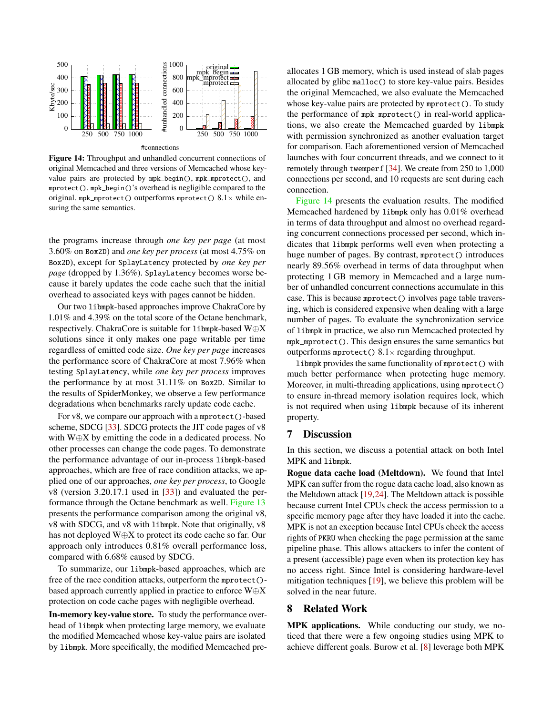<span id="page-10-0"></span>

Figure 14: Throughput and unhandled concurrent connections of original Memcached and three versions of Memcached whose keyvalue pairs are protected by mpk\_begin(), mpk\_mprotect(), and mprotect(). mpk\_begin()'s overhead is negligible compared to the original. mpk\_mprotect() outperforms mprotect()  $8.1 \times$  while ensuring the same semantics.

the programs increase through *one key per page* (at most 3.60% on Box2D) and *one key per process* (at most 4.75% on Box2D), except for SplayLatency protected by *one key per page* (dropped by 1.36%). SplayLatency becomes worse because it barely updates the code cache such that the initial overhead to associated keys with pages cannot be hidden.

Our two libmpk-based approaches improve ChakraCore by 1.01% and 4.39% on the total score of the Octane benchmark, respectively. ChakraCore is suitable for libmpk-based W⊕X solutions since it only makes one page writable per time regardless of emitted code size. *One key per page* increases the performance score of ChakraCore at most 7.96% when testing SplayLatency, while *one key per process* improves the performance by at most 31.11% on Box2D. Similar to the results of SpiderMonkey, we observe a few performance degradations when benchmarks rarely update code cache.

For v8, we compare our approach with a mprotect()-based scheme, SDCG [\[33\]](#page-13-0). SDCG protects the JIT code pages of v8 with W⊕X by emitting the code in a dedicated process. No other processes can change the code pages. To demonstrate the performance advantage of our in-process libmpk-based approaches, which are free of race condition attacks, we applied one of our approaches, *one key per process*, to Google v8 (version 3.20.17.1 used in [\[33\]](#page-13-0)) and evaluated the performance through the Octane benchmark as well. [Figure 13](#page-9-4) presents the performance comparison among the original v8, v8 with SDCG, and v8 with libmpk. Note that originally, v8 has not deployed W⊕X to protect its code cache so far. Our approach only introduces 0.81% overall performance loss, compared with 6.68% caused by SDCG.

To summarize, our libmpk-based approaches, which are free of the race condition attacks, outperform the mprotect() based approach currently applied in practice to enforce W⊕X protection on code cache pages with negligible overhead.

In-memory key-value store. To study the performance overhead of libmpk when protecting large memory, we evaluate the modified Memcached whose key-value pairs are isolated by libmpk. More specifically, the modified Memcached pre-

allocates 1 GB memory, which is used instead of slab pages allocated by glibc malloc() to store key-value pairs. Besides the original Memcached, we also evaluate the Memcached whose key-value pairs are protected by mprotect(). To study the performance of mpk\_mprotect() in real-world applications, we also create the Memcached guarded by libmpk with permission synchronized as another evaluation target for comparison. Each aforementioned version of Memcached launches with four concurrent threads, and we connect to it remotely through twemperf [\[34\]](#page-13-3). We create from 250 to 1,000 connections per second, and 10 requests are sent during each connection.

[Figure 14](#page-10-0) presents the evaluation results. The modified Memcached hardened by libmpk only has 0.01% overhead in terms of data throughput and almost no overhead regarding concurrent connections processed per second, which indicates that libmpk performs well even when protecting a huge number of pages. By contrast, mprotect() introduces nearly 89.56% overhead in terms of data throughput when protecting 1 GB memory in Memcached and a large number of unhandled concurrent connections accumulate in this case. This is because mprotect() involves page table traversing, which is considered expensive when dealing with a large number of pages. To evaluate the synchronization service of libmpk in practice, we also run Memcached protected by mpk\_mprotect(). This design ensures the same semantics but outperforms mprotect()  $8.1 \times$  regarding throughput.

libmpk provides the same functionality of mprotect() with much better performance when protecting huge memory. Moreover, in multi-threading applications, using mprotect() to ensure in-thread memory isolation requires lock, which is not required when using libmpk because of its inherent property.

#### 7 Discussion

In this section, we discuss a potential attack on both Intel MPK and libmpk.

Rogue data cache load (Meltdown). We found that Intel MPK can suffer from the rogue data cache load, also known as the Meltdown attack [\[19,](#page-12-12)[24\]](#page-12-13). The Meltdown attack is possible because current Intel CPUs check the access permission to a specific memory page after they have loaded it into the cache. MPK is not an exception because Intel CPUs check the access rights of PKRU when checking the page permission at the same pipeline phase. This allows attackers to infer the content of a present (accessible) page even when its protection key has no access right. Since Intel is considering hardware-level mitigation techniques [\[19\]](#page-12-12), we believe this problem will be solved in the near future.

#### 8 Related Work

MPK applications. While conducting our study, we noticed that there were a few ongoing studies using MPK to achieve different goals. Burow et al. [\[8\]](#page-11-5) leverage both MPK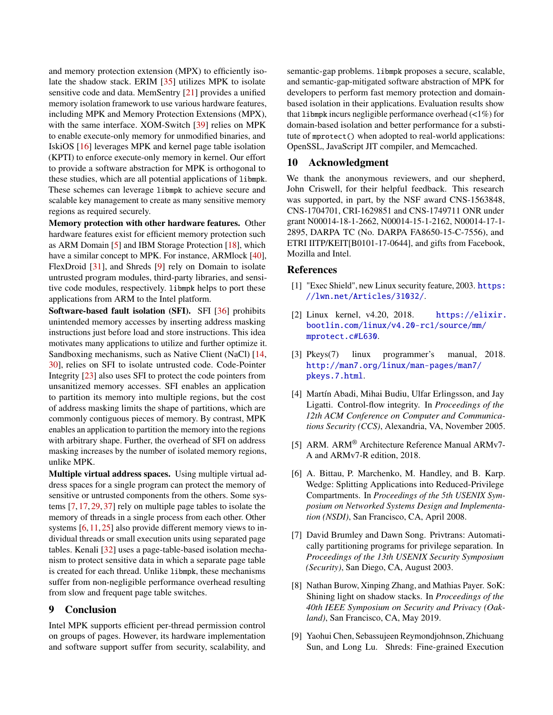and memory protection extension (MPX) to efficiently isolate the shadow stack. ERIM [\[35\]](#page-13-1) utilizes MPK to isolate sensitive code and data. MemSentry [\[21\]](#page-12-4) provides a unified memory isolation framework to use various hardware features, including MPK and Memory Protection Extensions (MPX), with the same interface. XOM-Switch [\[39\]](#page-13-4) relies on MPK to enable execute-only memory for unmodified binaries, and IskiOS [\[16\]](#page-12-14) leverages MPK and kernel page table isolation (KPTI) to enforce execute-only memory in kernel. Our effort to provide a software abstraction for MPK is orthogonal to these studies, which are all potential applications of libmpk. These schemes can leverage libmpk to achieve secure and scalable key management to create as many sensitive memory regions as required securely.

Memory protection with other hardware features. Other hardware features exist for efficient memory protection such as ARM Domain [\[5\]](#page-11-0) and IBM Storage Protection [\[18\]](#page-12-0), which have a similar concept to MPK. For instance, ARMlock [\[40\]](#page-13-5), FlexDroid [\[31\]](#page-12-15), and Shreds [\[9\]](#page-11-6) rely on Domain to isolate untrusted program modules, third-party libraries, and sensitive code modules, respectively. libmpk helps to port these applications from ARM to the Intel platform.

Software-based fault isolation (SFI). SFI [\[36\]](#page-13-6) prohibits unintended memory accesses by inserting address masking instructions just before load and store instructions. This idea motivates many applications to utilize and further optimize it. Sandboxing mechanisms, such as Native Client (NaCl) [\[14,](#page-12-16) [30\]](#page-12-17), relies on SFI to isolate untrusted code. Code-Pointer Integrity [\[23\]](#page-12-6) also uses SFI to protect the code pointers from unsanitized memory accesses. SFI enables an application to partition its memory into multiple regions, but the cost of address masking limits the shape of partitions, which are commonly contiguous pieces of memory. By contrast, MPK enables an application to partition the memory into the regions with arbitrary shape. Further, the overhead of SFI on address masking increases by the number of isolated memory regions, unlike MPK.

Multiple virtual address spaces. Using multiple virtual address spaces for a single program can protect the memory of sensitive or untrusted components from the others. Some systems [\[7,](#page-11-7) [17,](#page-12-18) [29,](#page-12-19) [37\]](#page-13-7) rely on multiple page tables to isolate the memory of threads in a single process from each other. Other systems [\[6,](#page-11-8) [11,](#page-12-20) [25\]](#page-12-21) also provide different memory views to individual threads or small execution units using separated page tables. Kenali [\[32\]](#page-13-8) uses a page-table-based isolation mechanism to protect sensitive data in which a separate page table is created for each thread. Unlike libmpk, these mechanisms suffer from non-negligible performance overhead resulting from slow and frequent page table switches.

# 9 Conclusion

Intel MPK supports efficient per-thread permission control on groups of pages. However, its hardware implementation and software support suffer from security, scalability, and

semantic-gap problems. libmpk proposes a secure, scalable, and semantic-gap-mitigated software abstraction of MPK for developers to perform fast memory protection and domainbased isolation in their applications. Evaluation results show that libmpk incurs negligible performance overhead  $\left\langle \langle 1\% \rangle \right\rangle$  for domain-based isolation and better performance for a substitute of mprotect() when adopted to real-world applications: OpenSSL, JavaScript JIT compiler, and Memcached.

# 10 Acknowledgment

We thank the anonymous reviewers, and our shepherd, John Criswell, for their helpful feedback. This research was supported, in part, by the NSF award CNS-1563848, CNS-1704701, CRI-1629851 and CNS-1749711 ONR under grant N00014-18-1-2662, N00014-15-1-2162, N00014-17-1- 2895, DARPA TC (No. DARPA FA8650-15-C-7556), and ETRI IITP/KEIT[B0101-17-0644], and gifts from Facebook, Mozilla and Intel.

#### References

- <span id="page-11-3"></span>[1] "Exec Shield", new Linux security feature, 2003. [https:](https://lwn.net/Articles/31032/) [//lwn.net/Articles/31032/](https://lwn.net/Articles/31032/).
- <span id="page-11-2"></span>[2] Linux kernel, v4.20, 2018. [https://elixir.](https://elixir.bootlin.com/linux/v4.20-rc1/source/mm/mprotect.c#L630) [bootlin.com/linux/v4.20-rc1/source/mm/](https://elixir.bootlin.com/linux/v4.20-rc1/source/mm/mprotect.c#L630) [mprotect.c#L630](https://elixir.bootlin.com/linux/v4.20-rc1/source/mm/mprotect.c#L630).
- <span id="page-11-1"></span>[3] Pkeys(7) linux programmer's manual, 2018. [http://man7.org/linux/man-pages/man7/](http://man7.org/linux/man-pages/man7/pkeys.7.html) [pkeys.7.html](http://man7.org/linux/man-pages/man7/pkeys.7.html).
- <span id="page-11-4"></span>[4] Martín Abadi, Mihai Budiu, Ulfar Erlingsson, and Jay Ligatti. Control-flow integrity. In *Proceedings of the 12th ACM Conference on Computer and Communications Security (CCS)*, Alexandria, VA, November 2005.
- <span id="page-11-0"></span>[5] ARM. ARM® Architecture Reference Manual ARMv7- A and ARMv7-R edition, 2018.
- <span id="page-11-8"></span>[6] A. Bittau, P. Marchenko, M. Handley, and B. Karp. Wedge: Splitting Applications into Reduced-Privilege Compartments. In *Proceedings of the 5th USENIX Symposium on Networked Systems Design and Implementation (NSDI)*, San Francisco, CA, April 2008.
- <span id="page-11-7"></span>[7] David Brumley and Dawn Song. Privtrans: Automatically partitioning programs for privilege separation. In *Proceedings of the 13th USENIX Security Symposium (Security)*, San Diego, CA, August 2003.
- <span id="page-11-5"></span>[8] Nathan Burow, Xinping Zhang, and Mathias Payer. SoK: Shining light on shadow stacks. In *Proceedings of the 40th IEEE Symposium on Security and Privacy (Oakland)*, San Francisco, CA, May 2019.
- <span id="page-11-6"></span>[9] Yaohui Chen, Sebassujeen Reymondjohnson, Zhichuang Sun, and Long Lu. Shreds: Fine-grained Execution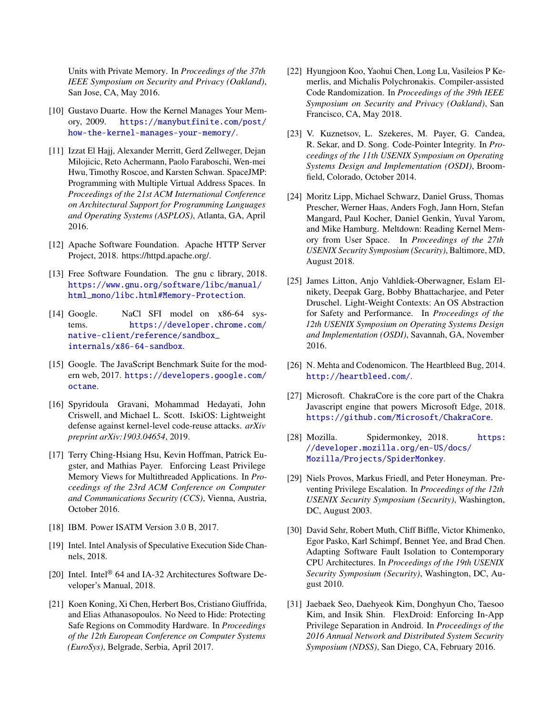Units with Private Memory. In *Proceedings of the 37th IEEE Symposium on Security and Privacy (Oakland)*, San Jose, CA, May 2016.

- <span id="page-12-2"></span>[10] Gustavo Duarte. How the Kernel Manages Your Memory, 2009. [https://manybutfinite.com/post/](https://manybutfinite.com/post/how-the-kernel-manages-your-memory/) [how-the-kernel-manages-your-memory/](https://manybutfinite.com/post/how-the-kernel-manages-your-memory/).
- <span id="page-12-20"></span>[11] Izzat El Hajj, Alexander Merritt, Gerd Zellweger, Dejan Milojicic, Reto Achermann, Paolo Faraboschi, Wen-mei Hwu, Timothy Roscoe, and Karsten Schwan. SpaceJMP: Programming with Multiple Virtual Address Spaces. In *Proceedings of the 21st ACM International Conference on Architectural Support for Programming Languages and Operating Systems (ASPLOS)*, Atlanta, GA, April 2016.
- <span id="page-12-10"></span>[12] Apache Software Foundation. Apache HTTP Server Project, 2018. https://httpd.apache.org/.
- <span id="page-12-3"></span>[13] Free Software Foundation. The gnu c library, 2018. [https://www.gnu.org/software/libc/manual/](https://www.gnu.org/software/libc/manual/html_mono/libc.html#Memory-Protection) [html\\_mono/libc.html#Memory-Protection](https://www.gnu.org/software/libc/manual/html_mono/libc.html#Memory-Protection).
- <span id="page-12-16"></span>[14] Google. NaCl SFI model on x86-64 systems. [https://developer.chrome.com/](https://developer.chrome.com/native-client/reference/sandbox_internals/x86-64-sandbox) [native-client/reference/sandbox\\_](https://developer.chrome.com/native-client/reference/sandbox_internals/x86-64-sandbox) [internals/x86-64-sandbox](https://developer.chrome.com/native-client/reference/sandbox_internals/x86-64-sandbox).
- <span id="page-12-11"></span>[15] Google. The JavaScript Benchmark Suite for the modern web, 2017. [https://developers.google.com/](https://developers.google.com/octane) [octane](https://developers.google.com/octane).
- <span id="page-12-14"></span>[16] Spyridoula Gravani, Mohammad Hedayati, John Criswell, and Michael L. Scott. IskiOS: Lightweight defense against kernel-level code-reuse attacks. *arXiv preprint arXiv:1903.04654*, 2019.
- <span id="page-12-18"></span>[17] Terry Ching-Hsiang Hsu, Kevin Hoffman, Patrick Eugster, and Mathias Payer. Enforcing Least Privilege Memory Views for Multithreaded Applications. In *Proceedings of the 23rd ACM Conference on Computer and Communications Security (CCS)*, Vienna, Austria, October 2016.
- <span id="page-12-0"></span>[18] IBM. Power ISATM Version 3.0 B, 2017.
- <span id="page-12-12"></span>[19] Intel. Intel Analysis of Speculative Execution Side Channels, 2018.
- <span id="page-12-1"></span>[20] Intel. Intel<sup>®</sup> 64 and IA-32 Architectures Software Developer's Manual, 2018.
- <span id="page-12-4"></span>[21] Koen Koning, Xi Chen, Herbert Bos, Cristiano Giuffrida, and Elias Athanasopoulos. No Need to Hide: Protecting Safe Regions on Commodity Hardware. In *Proceedings of the 12th European Conference on Computer Systems (EuroSys)*, Belgrade, Serbia, April 2017.
- <span id="page-12-5"></span>[22] Hyungjoon Koo, Yaohui Chen, Long Lu, Vasileios P Kemerlis, and Michalis Polychronakis. Compiler-assisted Code Randomization. In *Proceedings of the 39th IEEE Symposium on Security and Privacy (Oakland)*, San Francisco, CA, May 2018.
- <span id="page-12-6"></span>[23] V. Kuznetsov, L. Szekeres, M. Payer, G. Candea, R. Sekar, and D. Song. Code-Pointer Integrity. In *Proceedings of the 11th USENIX Symposium on Operating Systems Design and Implementation (OSDI)*, Broomfield, Colorado, October 2014.
- <span id="page-12-13"></span>[24] Moritz Lipp, Michael Schwarz, Daniel Gruss, Thomas Prescher, Werner Haas, Anders Fogh, Jann Horn, Stefan Mangard, Paul Kocher, Daniel Genkin, Yuval Yarom, and Mike Hamburg. Meltdown: Reading Kernel Memory from User Space. In *Proceedings of the 27th USENIX Security Symposium (Security)*, Baltimore, MD, August 2018.
- <span id="page-12-21"></span>[25] James Litton, Anjo Vahldiek-Oberwagner, Eslam Elnikety, Deepak Garg, Bobby Bhattacharjee, and Peter Druschel. Light-Weight Contexts: An OS Abstraction for Safety and Performance. In *Proceedings of the 12th USENIX Symposium on Operating Systems Design and Implementation (OSDI)*, Savannah, GA, November 2016.
- <span id="page-12-7"></span>[26] N. Mehta and Codenomicon. The Heartbleed Bug, 2014. <http://heartbleed.com/>.
- <span id="page-12-8"></span>[27] Microsoft. ChakraCore is the core part of the Chakra Javascript engine that powers Microsoft Edge, 2018. <https://github.com/Microsoft/ChakraCore>.
- <span id="page-12-9"></span>[28] Mozilla. Spidermonkey, 2018. [https:](https://developer.mozilla.org/en-US/docs/Mozilla/Projects/SpiderMonkey) [//developer.mozilla.org/en-US/docs/](https://developer.mozilla.org/en-US/docs/Mozilla/Projects/SpiderMonkey) [Mozilla/Projects/SpiderMonkey](https://developer.mozilla.org/en-US/docs/Mozilla/Projects/SpiderMonkey).
- <span id="page-12-19"></span>[29] Niels Provos, Markus Friedl, and Peter Honeyman. Preventing Privilege Escalation. In *Proceedings of the 12th USENIX Security Symposium (Security)*, Washington, DC, August 2003.
- <span id="page-12-17"></span>[30] David Sehr, Robert Muth, Cliff Biffle, Victor Khimenko, Egor Pasko, Karl Schimpf, Bennet Yee, and Brad Chen. Adapting Software Fault Isolation to Contemporary CPU Architectures. In *Proceedings of the 19th USENIX Security Symposium (Security)*, Washington, DC, August 2010.
- <span id="page-12-15"></span>[31] Jaebaek Seo, Daehyeok Kim, Donghyun Cho, Taesoo Kim, and Insik Shin. FlexDroid: Enforcing In-App Privilege Separation in Android. In *Proceedings of the 2016 Annual Network and Distributed System Security Symposium (NDSS)*, San Diego, CA, February 2016.